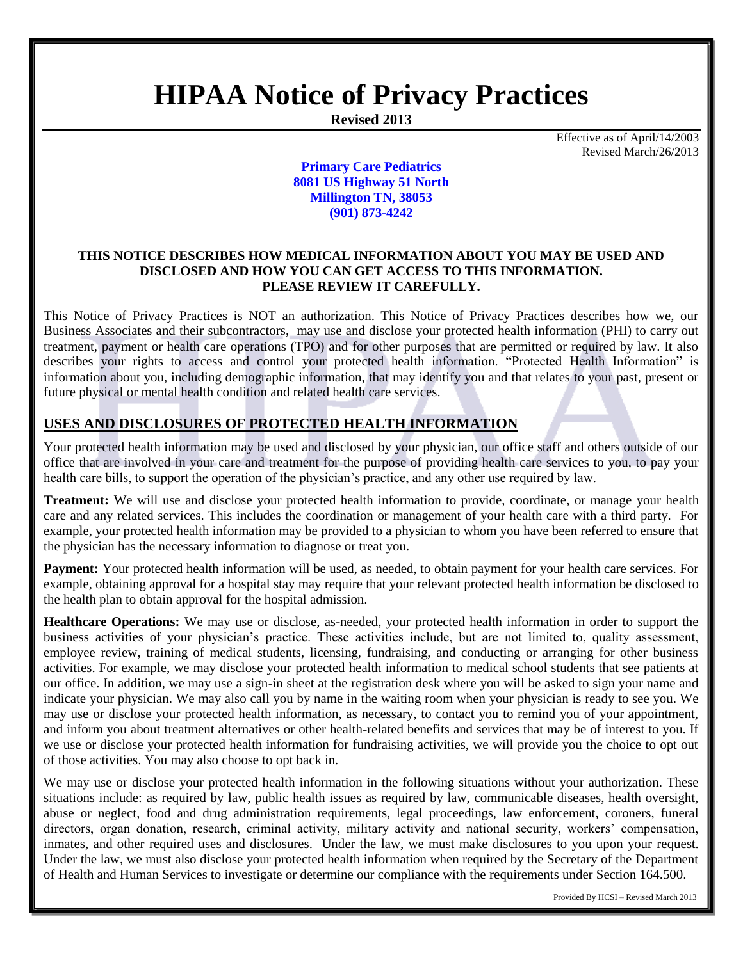# **HIPAA Notice of Privacy Practices**

**Revised 2013**

Effective as of April/14/2003 Revised March/26/2013

### **Primary Care Pediatrics 8081 US Highway 51 North Millington TN, 38053 (901) 873-4242**

### **THIS NOTICE DESCRIBES HOW MEDICAL INFORMATION ABOUT YOU MAY BE USED AND DISCLOSED AND HOW YOU CAN GET ACCESS TO THIS INFORMATION. PLEASE REVIEW IT CAREFULLY.**

This Notice of Privacy Practices is NOT an authorization. This Notice of Privacy Practices describes how we, our Business Associates and their subcontractors, may use and disclose your protected health information (PHI) to carry out treatment, payment or health care operations (TPO) and for other purposes that are permitted or required by law. It also describes your rights to access and control your protected health information. "Protected Health Information" is information about you, including demographic information, that may identify you and that relates to your past, present or future physical or mental health condition and related health care services.

# **USES AND DISCLOSURES OF PROTECTED HEALTH INFORMATION**

Your protected health information may be used and disclosed by your physician, our office staff and others outside of our office that are involved in your care and treatment for the purpose of providing health care services to you, to pay your health care bills, to support the operation of the physician's practice, and any other use required by law.

**Treatment:** We will use and disclose your protected health information to provide, coordinate, or manage your health care and any related services. This includes the coordination or management of your health care with a third party. For example, your protected health information may be provided to a physician to whom you have been referred to ensure that the physician has the necessary information to diagnose or treat you.

**Payment:** Your protected health information will be used, as needed, to obtain payment for your health care services. For example, obtaining approval for a hospital stay may require that your relevant protected health information be disclosed to the health plan to obtain approval for the hospital admission.

**Healthcare Operations:** We may use or disclose, as-needed, your protected health information in order to support the business activities of your physician's practice. These activities include, but are not limited to, quality assessment, employee review, training of medical students, licensing, fundraising, and conducting or arranging for other business activities. For example, we may disclose your protected health information to medical school students that see patients at our office. In addition, we may use a sign-in sheet at the registration desk where you will be asked to sign your name and indicate your physician. We may also call you by name in the waiting room when your physician is ready to see you. We may use or disclose your protected health information, as necessary, to contact you to remind you of your appointment, and inform you about treatment alternatives or other health-related benefits and services that may be of interest to you. If we use or disclose your protected health information for fundraising activities, we will provide you the choice to opt out of those activities. You may also choose to opt back in.

We may use or disclose your protected health information in the following situations without your authorization. These situations include: as required by law, public health issues as required by law, communicable diseases, health oversight, abuse or neglect, food and drug administration requirements, legal proceedings, law enforcement, coroners, funeral directors, organ donation, research, criminal activity, military activity and national security, workers' compensation, inmates, and other required uses and disclosures. Under the law, we must make disclosures to you upon your request. Under the law, we must also disclose your protected health information when required by the Secretary of the Department of Health and Human Services to investigate or determine our compliance with the requirements under Section 164.500.